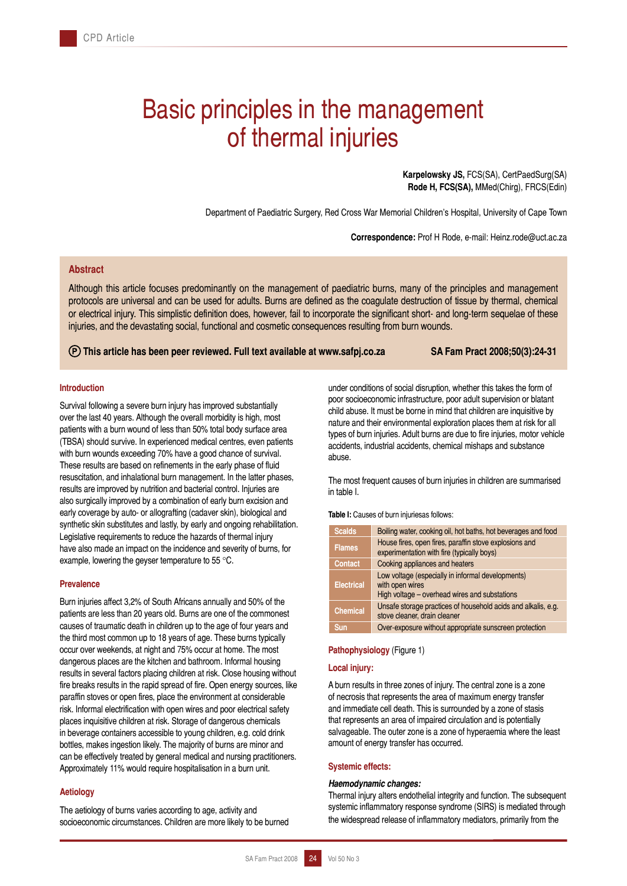# Basic principles in the management of thermal injuries

**Karpelowsky JS,** FCS(SA), CertPaedSurg(SA) **Rode H, FCS(SA),** MMed(Chirg), FRCS(Edin)

Department of Paediatric Surgery, Red Cross War Memorial Children's Hospital, University of Cape Town

**Correspondence:** Prof H Rode, e-mail: Heinz.rode@uct.ac.za

# **Abstract**

Although this article focuses predominantly on the management of paediatric burns, many of the principles and management protocols are universal and can be used for adults. Burns are defined as the coagulate destruction of tissue by thermal, chemical or electrical injury. This simplistic definition does, however, fail to incorporate the significant short- and long-term sequelae of these injuries, and the devastating social, functional and cosmetic consequences resulting from burn wounds.

## **This article has been peer reviewed. Full text available at www.safpj.co.za SA Fam Pract 2008;50(3):24-31**

#### **Introduction**

Survival following a severe burn injury has improved substantially over the last 40 years. Although the overall morbidity is high, most patients with a burn wound of less than 50% total body surface area (TBSA) should survive. In experienced medical centres, even patients with burn wounds exceeding 70% have a good chance of survival. These results are based on refinements in the early phase of fluid resuscitation, and inhalational burn management. In the latter phases, results are improved by nutrition and bacterial control. Injuries are also surgically improved by a combination of early burn excision and early coverage by auto- or allografting (cadaver skin), biological and synthetic skin substitutes and lastly, by early and ongoing rehabilitation. Legislative requirements to reduce the hazards of thermal injury have also made an impact on the incidence and severity of burns, for example, lowering the geyser temperature to 55 °C.

#### **Prevalence**

Burn injuries affect 3,2% of South Africans annually and 50% of the patients are less than 20 years old. Burns are one of the commonest causes of traumatic death in children up to the age of four years and the third most common up to 18 years of age. These burns typically occur over weekends, at night and 75% occur at home. The most dangerous places are the kitchen and bathroom. Informal housing results in several factors placing children at risk. Close housing without fire breaks results in the rapid spread of fire. Open energy sources, like paraffin stoves or open fires, place the environment at considerable risk. Informal electrification with open wires and poor electrical safety places inquisitive children at risk. Storage of dangerous chemicals in beverage containers accessible to young children, e.g. cold drink bottles, makes ingestion likely. The majority of burns are minor and can be effectively treated by general medical and nursing practitioners. Approximately 11% would require hospitalisation in a burn unit.

# **Aetiology**

The aetiology of burns varies according to age, activity and socioeconomic circumstances. Children are more likely to be burned under conditions of social disruption, whether this takes the form of poor socioeconomic infrastructure, poor adult supervision or blatant child abuse. It must be borne in mind that children are inquisitive by nature and their environmental exploration places them at risk for all types of burn injuries. Adult burns are due to fire injuries, motor vehicle accidents, industrial accidents, chemical mishaps and substance abuse.

The most frequent causes of burn injuries in children are summarised in table I.

**Table I:** Causes of burn injuriesas follows:

| <b>Scalds</b>     | Boiling water, cooking oil, hot baths, hot beverages and food                                                         |  |
|-------------------|-----------------------------------------------------------------------------------------------------------------------|--|
| <b>Flames</b>     | House fires, open fires, paraffin stove explosions and<br>experimentation with fire (typically boys)                  |  |
| <b>Contact</b>    | Cooking appliances and heaters                                                                                        |  |
| <b>Electrical</b> | Low voltage (especially in informal developments)<br>with open wires<br>High voltage - overhead wires and substations |  |
| <b>Chemical</b>   | Unsafe storage practices of household acids and alkalis, e.g.<br>stove cleaner, drain cleaner                         |  |
| <b>Sun</b>        | Over-exposure without appropriate sunscreen protection                                                                |  |

#### **Pathophysiology** (Figure 1)

#### **Local injury:**

A burn results in three zones of injury. The central zone is a zone of necrosis that represents the area of maximum energy transfer and immediate cell death. This is surrounded by a zone of stasis that represents an area of impaired circulation and is potentially salvageable. The outer zone is a zone of hyperaemia where the least amount of energy transfer has occurred.

#### **Systemic effects:**

#### *Haemodynamic changes:*

Thermal injury alters endothelial integrity and function. The subsequent systemic inflammatory response syndrome (SIRS) is mediated through the widespread release of inflammatory mediators, primarily from the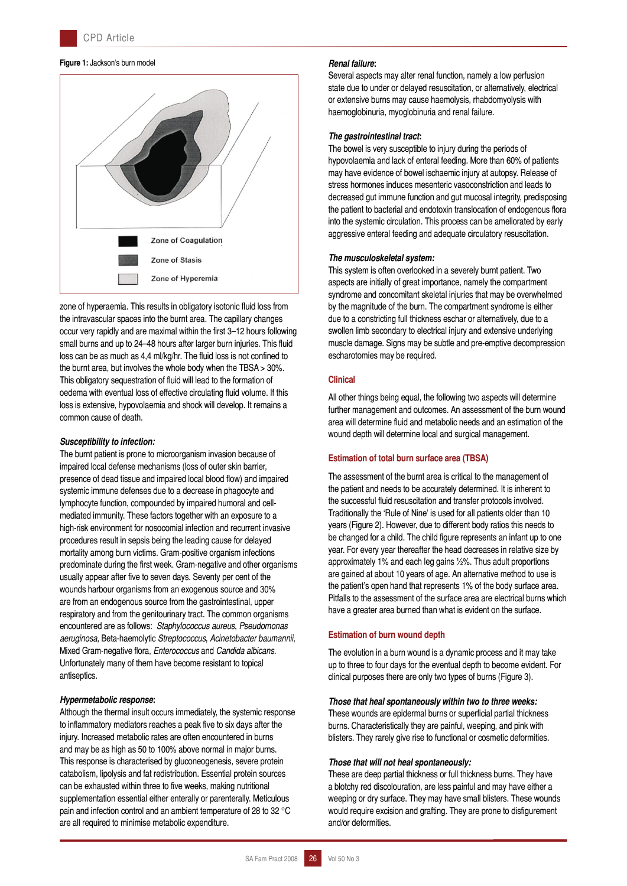#### **Figure 1:** Jackson's burn model



zone of hyperaemia. This results in obligatory isotonic fluid loss from the intravascular spaces into the burnt area. The capillary changes occur very rapidly and are maximal within the first 3–12 hours following small burns and up to 24–48 hours after larger burn injuries. This fluid loss can be as much as 4,4 ml/kg/hr. The fluid loss is not confined to the burnt area, but involves the whole body when the TBSA > 30%. This obligatory sequestration of fluid will lead to the formation of oedema with eventual loss of effective circulating fluid volume. If this loss is extensive, hypovolaemia and shock will develop. It remains a common cause of death.

#### *Susceptibility to infection:*

The burnt patient is prone to microorganism invasion because of impaired local defense mechanisms (loss of outer skin barrier, presence of dead tissue and impaired local blood flow) and impaired systemic immune defenses due to a decrease in phagocyte and lymphocyte function, compounded by impaired humoral and cellmediated immunity. These factors together with an exposure to a high-risk environment for nosocomial infection and recurrent invasive procedures result in sepsis being the leading cause for delayed mortality among burn victims. Gram-positive organism infections predominate during the first week. Gram-negative and other organisms usually appear after five to seven days. Seventy per cent of the wounds harbour organisms from an exogenous source and 30% are from an endogenous source from the gastrointestinal, upper respiratory and from the genitourinary tract. The common organisms encountered are as follows: *Staphylococcus aureus*, *Pseudomonas aeruginosa*, Beta-haemolytic *Streptococcus*, *Acinetobacter baumannii*, Mixed Gram-negative flora, *Enterococcus* and *Candida albicans*. Unfortunately many of them have become resistant to topical antiseptics.

## *Hypermetabolic response***:**

Although the thermal insult occurs immediately, the systemic response to inflammatory mediators reaches a peak five to six days after the injury. Increased metabolic rates are often encountered in burns and may be as high as 50 to 100% above normal in major burns. This response is characterised by gluconeogenesis, severe protein catabolism, lipolysis and fat redistribution. Essential protein sources can be exhausted within three to five weeks, making nutritional supplementation essential either enterally or parenterally. Meticulous pain and infection control and an ambient temperature of 28 to 32 °C are all required to minimise metabolic expenditure.

# *Renal failure***:**

Several aspects may alter renal function, namely a low perfusion state due to under or delayed resuscitation, or alternatively, electrical or extensive burns may cause haemolysis, rhabdomyolysis with haemoglobinuria, myoglobinuria and renal failure.

## *The gastrointestinal tract***:**

The bowel is very susceptible to injury during the periods of hypovolaemia and lack of enteral feeding. More than 60% of patients may have evidence of bowel ischaemic injury at autopsy. Release of stress hormones induces mesenteric vasoconstriction and leads to decreased gut immune function and gut mucosal integrity, predisposing the patient to bacterial and endotoxin translocation of endogenous flora into the systemic circulation. This process can be ameliorated by early aggressive enteral feeding and adequate circulatory resuscitation.

## *The musculoskeletal system:*

This system is often overlooked in a severely burnt patient. Two aspects are initially of great importance, namely the compartment syndrome and concomitant skeletal injuries that may be overwhelmed by the magnitude of the burn. The compartment syndrome is either due to a constricting full thickness eschar or alternatively, due to a swollen limb secondary to electrical injury and extensive underlying muscle damage. Signs may be subtle and pre-emptive decompression escharotomies may be required.

#### **Clinical**

All other things being equal, the following two aspects will determine further management and outcomes. An assessment of the burn wound area will determine fluid and metabolic needs and an estimation of the wound depth will determine local and surgical management.

## **Estimation of total burn surface area (TBSA)**

The assessment of the burnt area is critical to the management of the patient and needs to be accurately determined. It is inherent to the successful fluid resuscitation and transfer protocols involved. Traditionally the 'Rule of Nine' is used for all patients older than 10 years (Figure 2). However, due to different body ratios this needs to be changed for a child. The child figure represents an infant up to one year. For every year thereafter the head decreases in relative size by approximately 1% and each leg gains 1⁄2%. Thus adult proportions are gained at about 10 years of age. An alternative method to use is the patient's open hand that represents 1% of the body surface area. Pitfalls to the assessment of the surface area are electrical burns which have a greater area burned than what is evident on the surface.

## **Estimation of burn wound depth**

The evolution in a burn wound is a dynamic process and it may take up to three to four days for the eventual depth to become evident. For clinical purposes there are only two types of burns (Figure 3).

#### *Those that heal spontaneously within two to three weeks:*

These wounds are epidermal burns or superficial partial thickness burns. Characteristically they are painful, weeping, and pink with blisters. They rarely give rise to functional or cosmetic deformities.

#### *Those that will not heal spontaneously:*

These are deep partial thickness or full thickness burns. They have a blotchy red discolouration, are less painful and may have either a weeping or dry surface. They may have small blisters. These wounds would require excision and grafting. They are prone to disfigurement and/or deformities.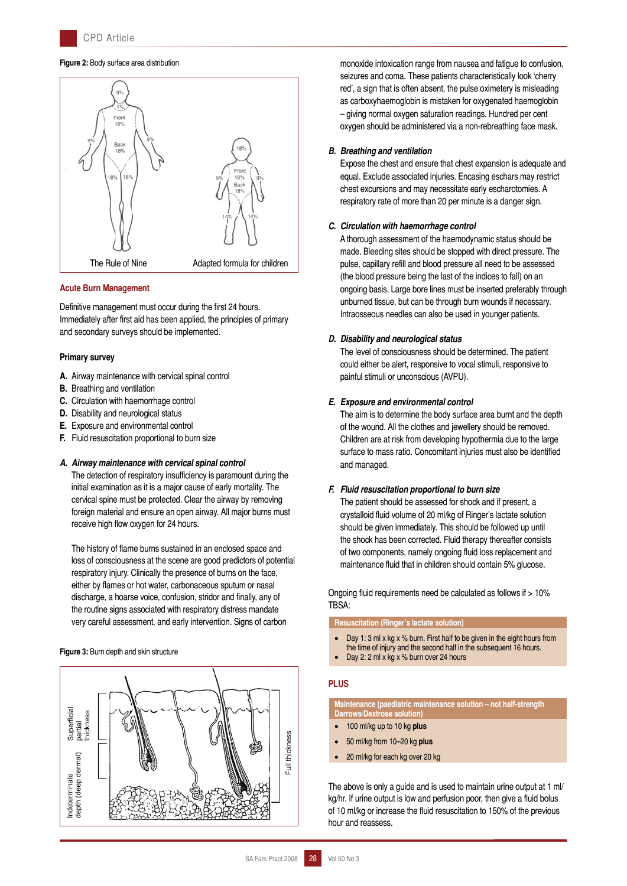#### **Figure 2:** Body surface area distribution



#### **Acute Burn Management**

Definitive management must occur during the first 24 hours. Immediately after first aid has been applied, the principles of primary and secondary surveys should be implemented.

#### **Primary survey**

- **A.** Airway maintenance with cervical spinal control
- **B.** Breathing and ventilation
- **C.** Circulation with haemorrhage control
- **D.** Disability and neurological status
- **E.** Exposure and environmental control
- **F.** Fluid resuscitation proportional to burn size

#### *A. Airway maintenance with cervical spinal control*

 The detection of respiratory insufficiency is paramount during the initial examination as it is a major cause of early mortality. The cervical spine must be protected. Clear the airway by removing foreign material and ensure an open airway. All major burns must receive high flow oxygen for 24 hours.

 The history of flame burns sustained in an enclosed space and loss of consciousness at the scene are good predictors of potential respiratory injury. Clinically the presence of burns on the face, either by flames or hot water, carbonaceous sputum or nasal discharge, a hoarse voice, confusion, stridor and finally, any of the routine signs associated with respiratory distress mandate very careful assessment, and early intervention. Signs of carbon

#### **Figure 3:** Burn depth and skin structure



monoxide intoxication range from nausea and fatigue to confusion, seizures and coma. These patients characteristically look 'cherry red', a sign that is often absent, the pulse oximetery is misleading as carboxyhaemoglobin is mistaken for oxygenated haemoglobin – giving normal oxygen saturation readings. Hundred per cent oxygen should be administered via a non-rebreathing face mask.

#### *B. Breathing and ventilation*

 Expose the chest and ensure that chest expansion is adequate and equal. Exclude associated injuries. Encasing eschars may restrict chest excursions and may necessitate early escharotomies. A respiratory rate of more than 20 per minute is a danger sign.

#### *C. Circulation with haemorrhage control*

 A thorough assessment of the haemodynamic status should be made. Bleeding sites should be stopped with direct pressure. The pulse, capillary refill and blood pressure all need to be assessed (the blood pressure being the last of the indices to fall) on an ongoing basis. Large bore lines must be inserted preferably through unburned tissue, but can be through burn wounds if necessary. Intraosseous needles can also be used in younger patients.

#### *D. Disability and neurological status*

 The level of consciousness should be determined. The patient could either be alert, responsive to vocal stimuli, responsive to painful stimuli or unconscious (AVPU).

#### *E. Exposure and environmental control*

 The aim is to determine the body surface area burnt and the depth of the wound. All the clothes and jewellery should be removed. Children are at risk from developing hypothermia due to the large surface to mass ratio. Concomitant injuries must also be identified and managed.

#### *F. Fluid resuscitation proportional to burn size*

 The patient should be assessed for shock and if present, a crystalloid fluid volume of 20 ml/kg of Ringer's lactate solution should be given immediately. This should be followed up until the shock has been corrected. Fluid therapy thereafter consists of two components, namely ongoing fluid loss replacement and maintenance fluid that in children should contain 5% glucose.

Ongoing fluid requirements need be calculated as follows if > 10% TBSA:

**Resuscitation (Ringer's lactate solution)**

- Day 1: 3 ml x kg x % burn. First half to be given in the eight hours from
- the time of injury and the second half in the subsequent 16 hours.
- Day 2: 2 ml x kg x % burn over 24 hours

## **PLUS**

**Maintenance (paediatric maintenance solution – not half-strength Darrows/Dextrose solution)**

- 100 ml/kg up to 10 kg **plus**
- 50 ml/kg from 10–20 kg **plus**
- 20 ml/kg for each kg over 20 kg

The above is only a guide and is used to maintain urine output at 1 ml/ kg/hr. If urine output is low and perfusion poor, then give a fluid bolus of 10 ml/kg or increase the fluid resuscitation to 150% of the previous hour and reassess.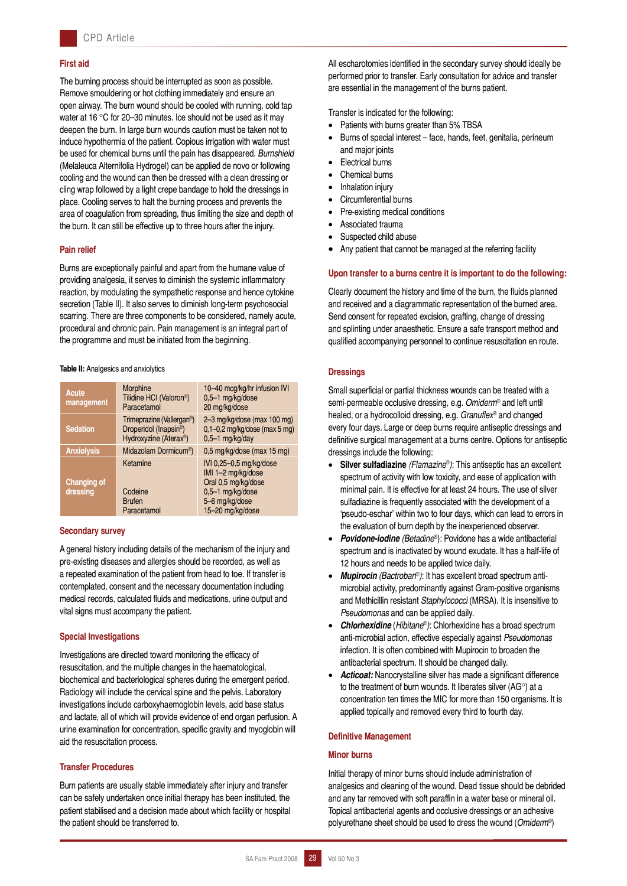## **First aid**

The burning process should be interrupted as soon as possible. Remove smouldering or hot clothing immediately and ensure an open airway. The burn wound should be cooled with running, cold tap water at 16 °C for 20–30 minutes. Ice should not be used as it may deepen the burn. In large burn wounds caution must be taken not to induce hypothermia of the patient. Copious irrigation with water must be used for chemical burns until the pain has disappeared. *Burnshield* (Melaleuca Alternifolia Hydrogel) can be applied de novo or following cooling and the wound can then be dressed with a clean dressing or cling wrap followed by a light crepe bandage to hold the dressings in place. Cooling serves to halt the burning process and prevents the area of coagulation from spreading, thus limiting the size and depth of the burn. It can still be effective up to three hours after the injury.

## **Pain relief**

Burns are exceptionally painful and apart from the humane value of providing analgesia, it serves to diminish the systemic inflammatory reaction, by modulating the sympathetic response and hence cytokine secretion (Table II). It also serves to diminish long-term psychosocial scarring. There are three components to be considered, namely acute, procedural and chronic pain. Pain management is an integral part of the programme and must be initiated from the beginning.

## **Table II:** Analgesics and anxiolytics

| Acute<br>management            | Morphine<br>Tilidine HCI (Valoron <sup>®</sup> )<br>Paracetamol                                                    | 10-40 mcg/kg/hr infusion IVI<br>0,5-1 mg/kg/dose<br>20 mg/kg/dose                                                              |
|--------------------------------|--------------------------------------------------------------------------------------------------------------------|--------------------------------------------------------------------------------------------------------------------------------|
| <b>Sedation</b>                | Trimeprazine (Vallergan <sup>®</sup> )<br>Droperidol (Inapsin <sup>®</sup> )<br>Hydroxyzine (Aterax <sup>®</sup> ) | 2-3 mg/kg/dose (max 100 mg)<br>$0,1-0,2$ mg/kg/dose (max 5 mg)<br>$0.5-1$ mg/kg/day                                            |
| <b>Anxiolysis</b>              | Midazolam Dormicum <sup>®</sup> )                                                                                  | 0,5 mg/kg/dose (max 15 mg)                                                                                                     |
| <b>Changing of</b><br>dressing | Ketamine<br>Codeine<br><b>Brufen</b><br>Paracetamol                                                                | IVI 0,25-0,5 mg/kg/dose<br>IMI 1-2 mg/kg/dose<br>Oral 0,5 mg/kg/dose<br>0,5-1 mg/kg/dose<br>5-6 mg/kg/dose<br>15-20 mg/kg/dose |

## **Secondary survey**

A general history including details of the mechanism of the injury and pre-existing diseases and allergies should be recorded, as well as a repeated examination of the patient from head to toe. If transfer is contemplated, consent and the necessary documentation including medical records, calculated fluids and medications, urine output and vital signs must accompany the patient.

## **Special Investigations**

Investigations are directed toward monitoring the efficacy of resuscitation, and the multiple changes in the haematological, biochemical and bacteriological spheres during the emergent period. Radiology will include the cervical spine and the pelvis. Laboratory investigations include carboxyhaemoglobin levels, acid base status and lactate, all of which will provide evidence of end organ perfusion. A urine examination for concentration, specific gravity and myoglobin will aid the resuscitation process.

## **Transfer Procedures**

Burn patients are usually stable immediately after injury and transfer can be safely undertaken once initial therapy has been instituted, the patient stabilised and a decision made about which facility or hospital the patient should be transferred to.

All escharotomies identified in the secondary survey should ideally be performed prior to transfer. Early consultation for advice and transfer are essential in the management of the burns patient.

Transfer is indicated for the following:

- Patients with burns greater than 5% TBSA
- Burns of special interest face, hands, feet, genitalia, perineum and major joints
- **Electrical burns**
- Chemical burns
- Inhalation injury
- Circumferential burns
- Pre-existing medical conditions
- Associated trauma
- Suspected child abuse
- Any patient that cannot be managed at the referring facility

## **Upon transfer to a burns centre it is important to do the following:**

Clearly document the history and time of the burn, the fluids planned and received and a diagrammatic representation of the burned area. Send consent for repeated excision, grafting, change of dressing and splinting under anaesthetic. Ensure a safe transport method and qualified accompanying personnel to continue resuscitation en route.

## **Dressings**

Small superficial or partial thickness wounds can be treated with a semi-permeable occlusive dressing, e.g. *Omiderm*® and left until healed, or a hydrocolloid dressing, e.g. *Granuflex*® and changed every four days*.* Large or deep burns require antiseptic dressings and definitive surgical management at a burns centre. Options for antiseptic dressings include the following:

- **Silver sulfadiazine** *(Flamazine*®*)*: This antiseptic has an excellent spectrum of activity with low toxicity, and ease of application with minimal pain. It is effective for at least 24 hours. The use of silver sulfadiazine is frequently associated with the development of a 'pseudo-eschar' within two to four days, which can lead to errors in the evaluation of burn depth by the inexperienced observer.
- *Povidone-iodine (Betadine*®): Povidone has a wide antibacterial spectrum and is inactivated by wound exudate. It has a half-life of 12 hours and needs to be applied twice daily.
- *Mupirocin (Bactroban*®*)*: It has excellent broad spectrum antimicrobial activity, predominantly against Gram-positive organisms and Methicillin resistant *Staphylococci* (MRSA). It is insensitive to *Pseudomonas* and can be applied daily.
- *Chlorhexidine* (*Hibitane*®*)*: Chlorhexidine has a broad spectrum anti-microbial action, effective especially against *Pseudomonas* infection. It is often combined with Mupirocin to broaden the antibacterial spectrum. It should be changed daily.
- *Acticoat:* Nanocrystalline silver has made a significant difference to the treatment of burn wounds. It liberates silver (AG°) at a concentration ten times the MIC for more than 150 organisms. It is applied topically and removed every third to fourth day.

# **Definitive Management**

## **Minor burns**

Initial therapy of minor burns should include administration of analgesics and cleaning of the wound. Dead tissue should be debrided and any tar removed with soft paraffin in a water base or mineral oil. Topical antibacterial agents and occlusive dressings or an adhesive polyurethane sheet should be used to dress the wound (*Omiderm*®)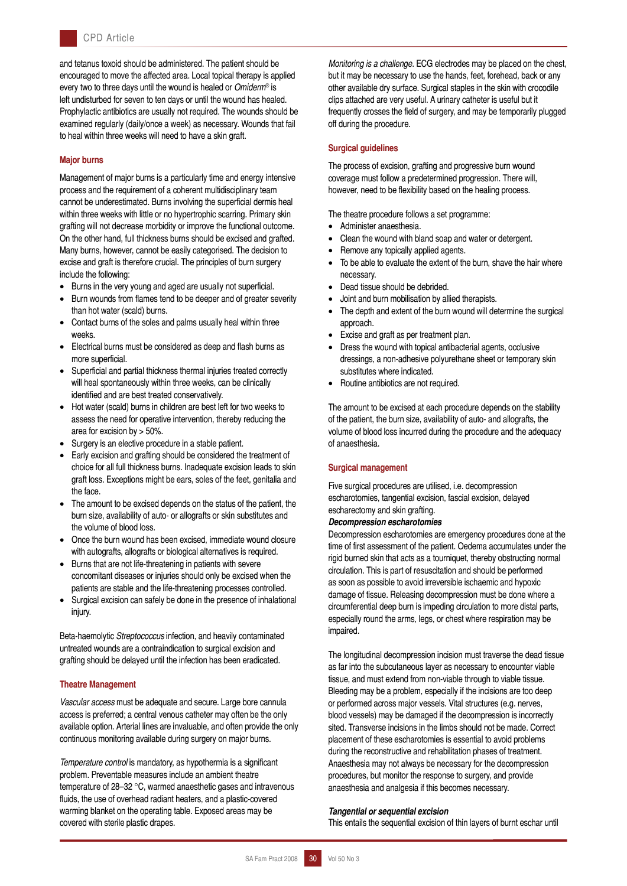and tetanus toxoid should be administered. The patient should be encouraged to move the affected area. Local topical therapy is applied every two to three days until the wound is healed or *Omiderm*® is left undisturbed for seven to ten days or until the wound has healed. Prophylactic antibiotics are usually not required. The wounds should be examined regularly (daily/once a week) as necessary. Wounds that fail to heal within three weeks will need to have a skin graft.

## **Major burns**

Management of major burns is a particularly time and energy intensive process and the requirement of a coherent multidisciplinary team cannot be underestimated. Burns involving the superficial dermis heal within three weeks with little or no hypertrophic scarring. Primary skin grafting will not decrease morbidity or improve the functional outcome. On the other hand, full thickness burns should be excised and grafted. Many burns, however, cannot be easily categorised. The decision to excise and graft is therefore crucial. The principles of burn surgery include the following:

- Burns in the very young and aged are usually not superficial.
- Burn wounds from flames tend to be deeper and of greater severity than hot water (scald) burns.
- Contact burns of the soles and palms usually heal within three weeks.
- Electrical burns must be considered as deep and flash burns as more superficial.
- Superficial and partial thickness thermal injuries treated correctly will heal spontaneously within three weeks, can be clinically identified and are best treated conservatively.
- Hot water (scald) burns in children are best left for two weeks to assess the need for operative intervention, thereby reducing the area for excision by > 50%.
- Surgery is an elective procedure in a stable patient.
- Early excision and grafting should be considered the treatment of choice for all full thickness burns. Inadequate excision leads to skin graft loss. Exceptions might be ears, soles of the feet, genitalia and the face.
- The amount to be excised depends on the status of the patient, the burn size, availability of auto- or allografts or skin substitutes and the volume of blood loss.
- Once the burn wound has been excised, immediate wound closure with autografts, allografts or biological alternatives is required.
- Burns that are not life-threatening in patients with severe concomitant diseases or injuries should only be excised when the patients are stable and the life-threatening processes controlled.
- Surgical excision can safely be done in the presence of inhalational injury.

Beta-haemolytic *Streptococcus* infection, and heavily contaminated untreated wounds are a contraindication to surgical excision and grafting should be delayed until the infection has been eradicated.

## **Theatre Management**

*Vascular access* must be adequate and secure. Large bore cannula access is preferred; a central venous catheter may often be the only available option. Arterial lines are invaluable, and often provide the only continuous monitoring available during surgery on major burns.

*Temperature control* is mandatory, as hypothermia is a significant problem. Preventable measures include an ambient theatre temperature of 28–32 °C, warmed anaesthetic gases and intravenous fluids, the use of overhead radiant heaters, and a plastic-covered warming blanket on the operating table. Exposed areas may be covered with sterile plastic drapes.

*Monitoring is a challenge*. ECG electrodes may be placed on the chest, but it may be necessary to use the hands, feet, forehead, back or any other available dry surface. Surgical staples in the skin with crocodile clips attached are very useful. A urinary catheter is useful but it frequently crosses the field of surgery, and may be temporarily plugged off during the procedure.

## **Surgical guidelines**

The process of excision, grafting and progressive burn wound coverage must follow a predetermined progression. There will, however, need to be flexibility based on the healing process.

The theatre procedure follows a set programme:

- Administer anaesthesia.
- Clean the wound with bland soap and water or detergent.
- Remove any topically applied agents.
- To be able to evaluate the extent of the burn, shave the hair where necessary.
- Dead tissue should be debrided.
- Joint and burn mobilisation by allied therapists.
- The depth and extent of the burn wound will determine the surgical approach.
- Excise and graft as per treatment plan.
- Dress the wound with topical antibacterial agents, occlusive dressings, a non-adhesive polyurethane sheet or temporary skin substitutes where indicated.
- Routine antibiotics are not required.

The amount to be excised at each procedure depends on the stability of the patient, the burn size, availability of auto- and allografts, the volume of blood loss incurred during the procedure and the adequacy of anaesthesia.

## **Surgical management**

Five surgical procedures are utilised, i.e. decompression escharotomies, tangential excision, fascial excision, delayed escharectomy and skin grafting.

#### *Decompression escharotomies*

Decompression escharotomies are emergency procedures done at the time of first assessment of the patient. Oedema accumulates under the rigid burned skin that acts as a tourniquet, thereby obstructing normal circulation. This is part of resuscitation and should be performed as soon as possible to avoid irreversible ischaemic and hypoxic damage of tissue. Releasing decompression must be done where a circumferential deep burn is impeding circulation to more distal parts, especially round the arms, legs, or chest where respiration may be impaired.

The longitudinal decompression incision must traverse the dead tissue as far into the subcutaneous layer as necessary to encounter viable tissue, and must extend from non-viable through to viable tissue. Bleeding may be a problem, especially if the incisions are too deep or performed across major vessels. Vital structures (e.g. nerves, blood vessels) may be damaged if the decompression is incorrectly sited. Transverse incisions in the limbs should not be made. Correct placement of these escharotomies is essential to avoid problems during the reconstructive and rehabilitation phases of treatment. Anaesthesia may not always be necessary for the decompression procedures, but monitor the response to surgery, and provide anaesthesia and analgesia if this becomes necessary.

#### *Tangential or sequential excision*

This entails the sequential excision of thin layers of burnt eschar until